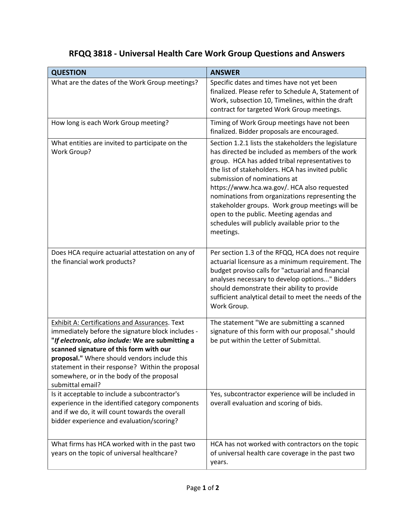## **RFQQ 3818 - Universal Health Care Work Group Questions and Answers**

| <b>QUESTION</b>                                                                                                                                                                                                                                                                                                                                                                 | <b>ANSWER</b>                                                                                                                                                                                                                                                                                                                                                                                                                                                                                                |
|---------------------------------------------------------------------------------------------------------------------------------------------------------------------------------------------------------------------------------------------------------------------------------------------------------------------------------------------------------------------------------|--------------------------------------------------------------------------------------------------------------------------------------------------------------------------------------------------------------------------------------------------------------------------------------------------------------------------------------------------------------------------------------------------------------------------------------------------------------------------------------------------------------|
| What are the dates of the Work Group meetings?                                                                                                                                                                                                                                                                                                                                  | Specific dates and times have not yet been<br>finalized. Please refer to Schedule A, Statement of<br>Work, subsection 10, Timelines, within the draft<br>contract for targeted Work Group meetings.                                                                                                                                                                                                                                                                                                          |
| How long is each Work Group meeting?                                                                                                                                                                                                                                                                                                                                            | Timing of Work Group meetings have not been<br>finalized. Bidder proposals are encouraged.                                                                                                                                                                                                                                                                                                                                                                                                                   |
| What entities are invited to participate on the<br><b>Work Group?</b>                                                                                                                                                                                                                                                                                                           | Section 1.2.1 lists the stakeholders the legislature<br>has directed be included as members of the work<br>group. HCA has added tribal representatives to<br>the list of stakeholders. HCA has invited public<br>submission of nominations at<br>https://www.hca.wa.gov/. HCA also requested<br>nominations from organizations representing the<br>stakeholder groups. Work group meetings will be<br>open to the public. Meeting agendas and<br>schedules will publicly available prior to the<br>meetings. |
| Does HCA require actuarial attestation on any of<br>the financial work products?                                                                                                                                                                                                                                                                                                | Per section 1.3 of the RFQQ, HCA does not require<br>actuarial licensure as a minimum requirement. The<br>budget proviso calls for "actuarial and financial<br>analyses necessary to develop options" Bidders<br>should demonstrate their ability to provide<br>sufficient analytical detail to meet the needs of the<br>Work Group.                                                                                                                                                                         |
| <b>Exhibit A: Certifications and Assurances. Text</b><br>immediately before the signature block includes -<br>"If electronic, also include: We are submitting a<br>scanned signature of this form with our<br>proposal." Where should vendors include this<br>statement in their response? Within the proposal<br>somewhere, or in the body of the proposal<br>submittal email? | The statement "We are submitting a scanned<br>signature of this form with our proposal." should<br>be put within the Letter of Submittal.                                                                                                                                                                                                                                                                                                                                                                    |
| Is it acceptable to include a subcontractor's<br>experience in the identified category components<br>and if we do, it will count towards the overall<br>bidder experience and evaluation/scoring?                                                                                                                                                                               | Yes, subcontractor experience will be included in<br>overall evaluation and scoring of bids.                                                                                                                                                                                                                                                                                                                                                                                                                 |
| What firms has HCA worked with in the past two<br>years on the topic of universal healthcare?                                                                                                                                                                                                                                                                                   | HCA has not worked with contractors on the topic<br>of universal health care coverage in the past two<br>years.                                                                                                                                                                                                                                                                                                                                                                                              |